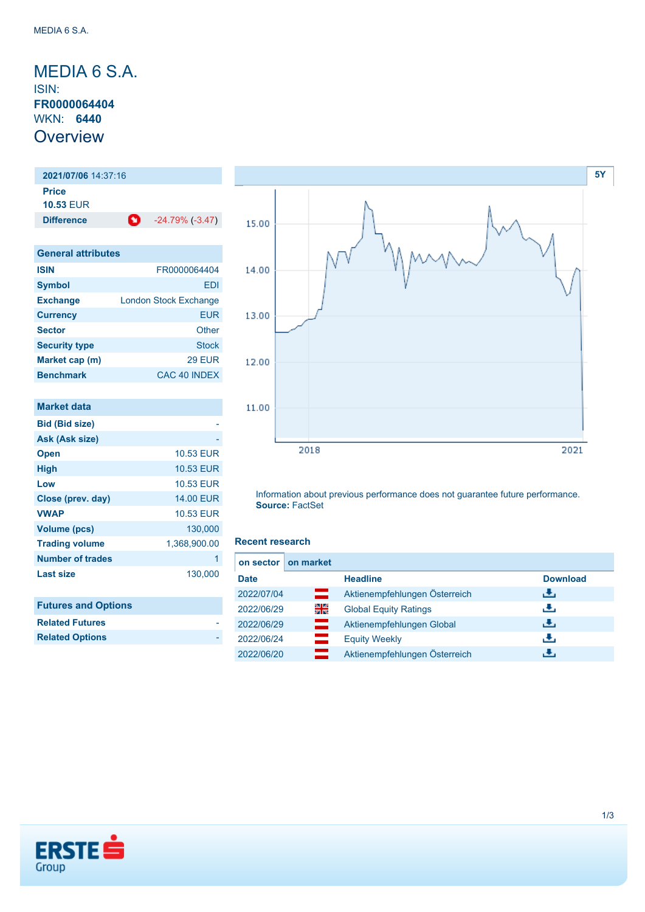### <span id="page-0-0"></span>MEDIA 6 S.A. ISIN: **FR0000064404** WKN: **6440 Overview**

**2021/07/06** 14:37:16 **Price 10.53** EUR **Difference** -24.79% (-3.47)

| <b>General attributes</b> |                              |  |  |
|---------------------------|------------------------------|--|--|
| <b>ISIN</b>               | FR0000064404                 |  |  |
| <b>Symbol</b>             | FDI                          |  |  |
| <b>Exchange</b>           | <b>London Stock Exchange</b> |  |  |
| <b>Currency</b>           | <b>EUR</b>                   |  |  |
| <b>Sector</b>             | Other                        |  |  |
| <b>Security type</b>      | <b>Stock</b>                 |  |  |
| Market cap (m)            | <b>29 EUR</b>                |  |  |
| <b>Benchmark</b>          | CAC 40 INDEX                 |  |  |

| Market data           |                  |
|-----------------------|------------------|
| <b>Bid (Bid size)</b> |                  |
| Ask (Ask size)        |                  |
| <b>Open</b>           | 10.53 EUR        |
| <b>High</b>           | <b>10.53 EUR</b> |
| Low                   | 10.53 FUR        |
| Close (prev. day)     | <b>14,00 EUR</b> |
| <b>VWAP</b>           | 10.53 EUR        |
| <b>Volume (pcs)</b>   | 130.000          |
| <b>Trading volume</b> | 1,368,900.00     |
| Number of trades      | 1                |
| Last size             | 130,000          |

| <b>Futures and Options</b> |
|----------------------------|
| <b>Related Futures</b>     |
| <b>Related Options</b>     |
|                            |



Information about previous performance does not guarantee future performance. **Source:** FactSet

#### **Recent research**

| on sector   | on market |                               |                 |
|-------------|-----------|-------------------------------|-----------------|
| <b>Date</b> |           | <b>Headline</b>               | <b>Download</b> |
| 2022/07/04  | œ         | Aktienempfehlungen Österreich | رالى            |
| 2022/06/29  | 읡         | <b>Global Equity Ratings</b>  | راق             |
| 2022/06/29  | ═         | Aktienempfehlungen Global     | رالى            |
| 2022/06/24  |           | <b>Equity Weekly</b>          | رالى            |
| 2022/06/20  |           | Aktienempfehlungen Österreich | đ۴,             |

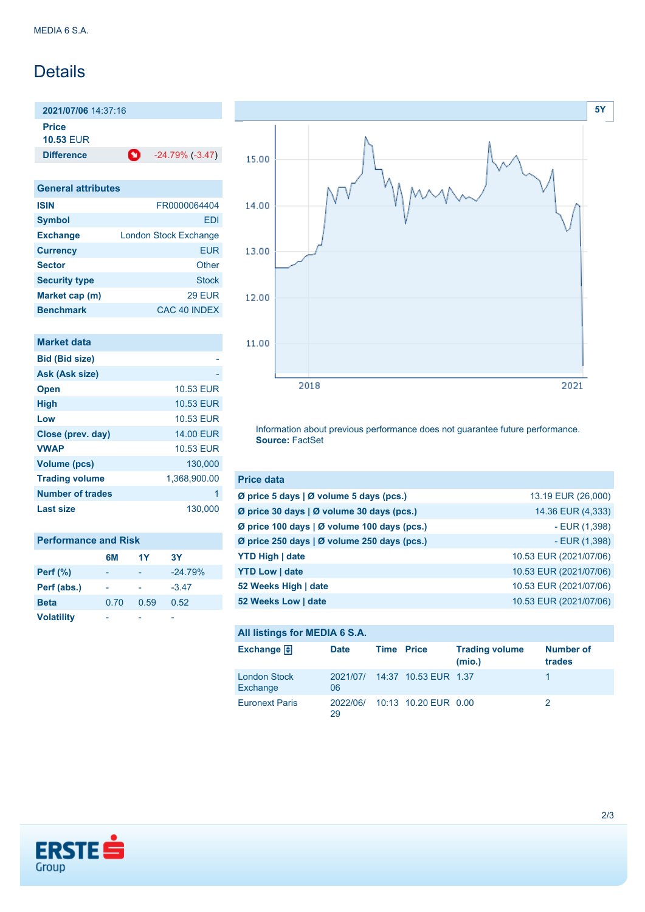## Details

**2021/07/06** 14:37:16

**Price 10.53** EUR

**Difference** -24.79% (-3.47)

| <b>General attributes</b> |                              |  |  |
|---------------------------|------------------------------|--|--|
| <b>ISIN</b>               | FR0000064404                 |  |  |
| <b>Symbol</b>             | FDI                          |  |  |
| <b>Exchange</b>           | <b>London Stock Exchange</b> |  |  |
| <b>Currency</b>           | <b>EUR</b>                   |  |  |
| <b>Sector</b>             | Other                        |  |  |
| <b>Security type</b>      | <b>Stock</b>                 |  |  |
| Market cap (m)            | <b>29 EUR</b>                |  |  |
| <b>Benchmark</b>          | CAC 40 INDEX                 |  |  |

| Market data           |                  |
|-----------------------|------------------|
| <b>Bid (Bid size)</b> |                  |
| Ask (Ask size)        |                  |
| <b>Open</b>           | 10.53 EUR        |
| <b>High</b>           | 10.53 EUR        |
| Low                   | 10.53 FUR        |
| Close (prev. day)     | <b>14.00 EUR</b> |
| <b>VWAP</b>           | <b>10.53 EUR</b> |
| <b>Volume (pcs)</b>   | 130.000          |
| <b>Trading volume</b> | 1,368,900.00     |
| Number of trades      | 1                |
| Last size             | 130,000          |
|                       |                  |

| <b>Performance and Risk</b> |      |      |           |  |  |
|-----------------------------|------|------|-----------|--|--|
|                             | 6M   | 1Y   | 3Y        |  |  |
| <b>Perf (%)</b>             |      |      | $-24.79%$ |  |  |
| Perf (abs.)                 |      |      | $-3.47$   |  |  |
| <b>Beta</b>                 | 0.70 | 0.59 | 0.52      |  |  |
| <b>Volatility</b>           |      |      |           |  |  |



Information about previous performance does not guarantee future performance. **Source:** FactSet

| <b>Price data</b>                                 |                        |
|---------------------------------------------------|------------------------|
| Ø price 5 days   Ø volume 5 days (pcs.)           | 13.19 EUR (26,000)     |
| Ø price 30 days   Ø volume 30 days (pcs.)         | 14.36 EUR (4,333)      |
| Ø price 100 days   Ø volume 100 days (pcs.)       | $-EUR(1,398)$          |
| Ø price 250 days $\vert$ Ø volume 250 days (pcs.) | - EUR (1,398)          |
| <b>YTD High   date</b>                            | 10.53 EUR (2021/07/06) |
| <b>YTD Low   date</b>                             | 10.53 EUR (2021/07/06) |
| 52 Weeks High   date                              | 10.53 EUR (2021/07/06) |
| 52 Weeks Low   date                               | 10.53 EUR (2021/07/06) |

#### **All listings for MEDIA 6 S.A.**

| Exchange $\bigoplus$            | <b>Date</b> | <b>Time Price</b> |                               | <b>Trading volume</b><br>(mio.) | Number of<br>trades |
|---------------------------------|-------------|-------------------|-------------------------------|---------------------------------|---------------------|
| <b>London Stock</b><br>Exchange | 06          |                   | 2021/07/ 14:37 10.53 EUR 1.37 |                                 |                     |
| <b>Euronext Paris</b>           | 29          |                   | 2022/06/ 10:13 10.20 EUR 0.00 |                                 |                     |